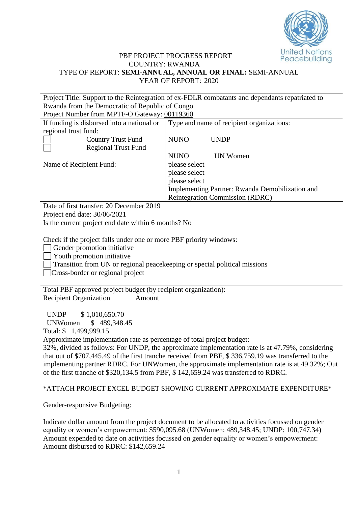

## PBF PROJECT PROGRESS REPORT COUNTRY: RWANDA TYPE OF REPORT: **SEMI-ANNUAL, ANNUAL OR FINAL:** SEMI-ANNUAL YEAR OF REPORT: 2020

|                                                                                                                                                                                                                                                                                                                                                                                 | Project Title: Support to the Reintegration of ex-FDLR combatants and dependants repatriated to                                                                                                                                                                                         |  |  |  |  |  |  |  |
|---------------------------------------------------------------------------------------------------------------------------------------------------------------------------------------------------------------------------------------------------------------------------------------------------------------------------------------------------------------------------------|-----------------------------------------------------------------------------------------------------------------------------------------------------------------------------------------------------------------------------------------------------------------------------------------|--|--|--|--|--|--|--|
| Rwanda from the Democratic of Republic of Congo                                                                                                                                                                                                                                                                                                                                 |                                                                                                                                                                                                                                                                                         |  |  |  |  |  |  |  |
| Project Number from MPTF-O Gateway: 00119360                                                                                                                                                                                                                                                                                                                                    |                                                                                                                                                                                                                                                                                         |  |  |  |  |  |  |  |
| If funding is disbursed into a national or                                                                                                                                                                                                                                                                                                                                      | Type and name of recipient organizations:                                                                                                                                                                                                                                               |  |  |  |  |  |  |  |
| regional trust fund:<br><b>Country Trust Fund</b><br><b>Regional Trust Fund</b>                                                                                                                                                                                                                                                                                                 | <b>NUNO</b><br><b>UNDP</b>                                                                                                                                                                                                                                                              |  |  |  |  |  |  |  |
|                                                                                                                                                                                                                                                                                                                                                                                 | <b>NUNO</b><br><b>UN Women</b>                                                                                                                                                                                                                                                          |  |  |  |  |  |  |  |
| Name of Recipient Fund:                                                                                                                                                                                                                                                                                                                                                         | please select                                                                                                                                                                                                                                                                           |  |  |  |  |  |  |  |
|                                                                                                                                                                                                                                                                                                                                                                                 | please select                                                                                                                                                                                                                                                                           |  |  |  |  |  |  |  |
|                                                                                                                                                                                                                                                                                                                                                                                 | please select                                                                                                                                                                                                                                                                           |  |  |  |  |  |  |  |
|                                                                                                                                                                                                                                                                                                                                                                                 | Implementing Partner: Rwanda Demobilization and                                                                                                                                                                                                                                         |  |  |  |  |  |  |  |
|                                                                                                                                                                                                                                                                                                                                                                                 | Reintegration Commission (RDRC)                                                                                                                                                                                                                                                         |  |  |  |  |  |  |  |
| Date of first transfer: 20 December 2019                                                                                                                                                                                                                                                                                                                                        |                                                                                                                                                                                                                                                                                         |  |  |  |  |  |  |  |
| Project end date: 30/06/2021                                                                                                                                                                                                                                                                                                                                                    |                                                                                                                                                                                                                                                                                         |  |  |  |  |  |  |  |
| Is the current project end date within 6 months? No                                                                                                                                                                                                                                                                                                                             |                                                                                                                                                                                                                                                                                         |  |  |  |  |  |  |  |
| Check if the project falls under one or more PBF priority windows:<br>Gender promotion initiative<br>Youth promotion initiative<br>Transition from UN or regional peacekeeping or special political missions<br>Cross-border or regional project                                                                                                                                |                                                                                                                                                                                                                                                                                         |  |  |  |  |  |  |  |
| Total PBF approved project budget (by recipient organization):<br><b>Recipient Organization</b><br>Amount                                                                                                                                                                                                                                                                       |                                                                                                                                                                                                                                                                                         |  |  |  |  |  |  |  |
| \$1,010,650.70<br><b>UNDP</b><br>\$489,348.45<br><b>UNWomen</b><br>Total: \$ 1,499,999.15<br>Approximate implementation rate as percentage of total project budget:<br>32%, divided as follows: For UNDP, the approximate implementation rate is at 47.79%, considering<br>that out of \$707,445.49 of the first tranche received from PBF, \$336,759.19 was transferred to the |                                                                                                                                                                                                                                                                                         |  |  |  |  |  |  |  |
|                                                                                                                                                                                                                                                                                                                                                                                 | implementing partner RDRC. For UNWomen, the approximate implementation rate is at 49.32%; Out                                                                                                                                                                                           |  |  |  |  |  |  |  |
|                                                                                                                                                                                                                                                                                                                                                                                 | of the first tranche of \$320,134.5 from PBF, \$142,659.24 was transferred to RDRC.                                                                                                                                                                                                     |  |  |  |  |  |  |  |
|                                                                                                                                                                                                                                                                                                                                                                                 | *ATTACH PROJECT EXCEL BUDGET SHOWING CURRENT APPROXIMATE EXPENDITURE*                                                                                                                                                                                                                   |  |  |  |  |  |  |  |
| Gender-responsive Budgeting:                                                                                                                                                                                                                                                                                                                                                    |                                                                                                                                                                                                                                                                                         |  |  |  |  |  |  |  |
| Amount disbursed to RDRC: \$142,659.24                                                                                                                                                                                                                                                                                                                                          | Indicate dollar amount from the project document to be allocated to activities focussed on gender<br>equality or women's empowerment: \$590,095.68 (UNWomen: 489,348.45; UNDP: 100,747.34)<br>Amount expended to date on activities focussed on gender equality or women's empowerment: |  |  |  |  |  |  |  |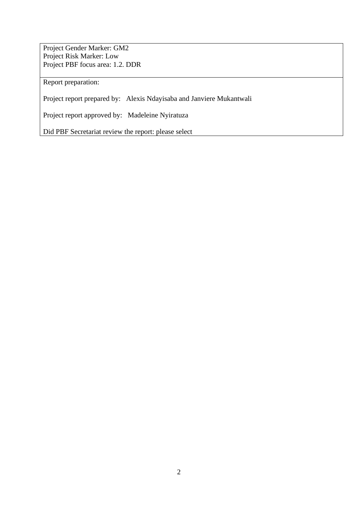Project Gender Marker: GM2 Project Risk Marker: Low Project PBF focus area: 1.2. DDR

Report preparation:

Project report prepared by: Alexis Ndayisaba and Janviere Mukantwali

Project report approved by: Madeleine Nyiratuza

Did PBF Secretariat review the report: please select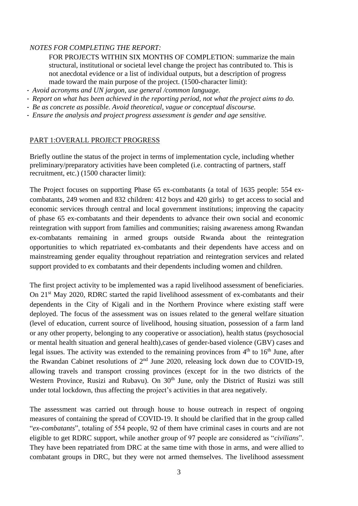### *NOTES FOR COMPLETING THE REPORT:*

FOR PROJECTS WITHIN SIX MONTHS OF COMPLETION: summarize the main structural, institutional or societal level change the project has contributed to. This is not anecdotal evidence or a list of individual outputs, but a description of progress made toward the main purpose of the project. (1500-character limit):

- *Avoid acronyms and UN jargon, use general /common language.*
- *Report on what has been achieved in the reporting period, not what the project aims to do.*
- *Be as concrete as possible. Avoid theoretical, vague or conceptual discourse.*
- *Ensure the analysis and project progress assessment is gender and age sensitive.*

#### PART 1:OVERALL PROJECT PROGRESS

Briefly outline the status of the project in terms of implementation cycle, including whether preliminary/preparatory activities have been completed (i.e. contracting of partners, staff recruitment, etc.) (1500 character limit):

The Project focuses on supporting Phase 65 ex-combatants (a total of 1635 people: 554 excombatants, 249 women and 832 children: 412 boys and 420 girls) to get access to social and economic services through central and local government institutions; improving the capacity of phase 65 ex-combatants and their dependents to advance their own social and economic reintegration with support from families and communities; raising awareness among Rwandan ex-combatants remaining in armed groups outside Rwanda about the reintegration opportunities to which repatriated ex-combatants and their dependents have access and on mainstreaming gender equality throughout repatriation and reintegration services and related support provided to ex combatants and their dependents including women and children.

The first project activity to be implemented was a rapid livelihood assessment of beneficiaries. On 21<sup>st</sup> May 2020, RDRC started the rapid livelihood assessment of ex-combatants and their dependents in the City of Kigali and in the Northern Province where existing staff were deployed. The focus of the assessment was on issues related to the general welfare situation (level of education, current source of livelihood, housing situation, possession of a farm land or any other property, belonging to any cooperative or association), health status (psychosocial or mental health situation and general health),cases of gender-based violence (GBV) cases and legal issues. The activity was extended to the remaining provinces from  $4<sup>th</sup>$  to  $16<sup>th</sup>$  June, after the Rwandan Cabinet resolutions of  $2<sup>nd</sup>$  June 2020, releasing lock down due to COVID-19, allowing travels and transport crossing provinces (except for in the two districts of the Western Province, Rusizi and Rubavu). On 30<sup>th</sup> June, only the District of Rusizi was still under total lockdown, thus affecting the project's activities in that area negatively.

The assessment was carried out through house to house outreach in respect of ongoing measures of containing the spread of COVID-19. It should be clarified that in the group called "*ex-combatants*", totaling of 554 people, 92 of them have criminal cases in courts and are not eligible to get RDRC support, while another group of 97 people are considered as "*civilians*". They have been repatriated from DRC at the same time with those in arms, and were allied to combatant groups in DRC, but they were not armed themselves. The livelihood assessment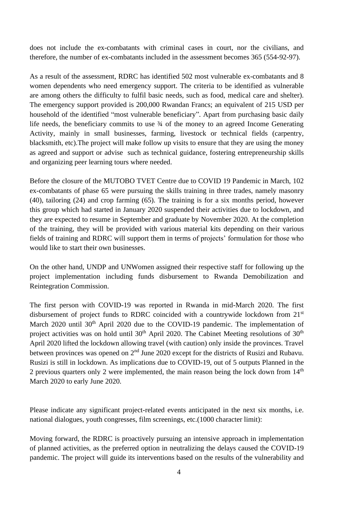does not include the ex-combatants with criminal cases in court, nor the civilians, and therefore, the number of ex-combatants included in the assessment becomes 365 (554-92-97).

As a result of the assessment, RDRC has identified 502 most vulnerable ex-combatants and 8 women dependents who need emergency support. The criteria to be identified as vulnerable are among others the difficulty to fulfil basic needs, such as food, medical care and shelter). The emergency support provided is 200,000 Rwandan Francs; an equivalent of 215 USD per household of the identified "most vulnerable beneficiary". Apart from purchasing basic daily life needs, the beneficiary commits to use  $\frac{3}{4}$  of the money to an agreed Income Generating Activity, mainly in small businesses, farming, livestock or technical fields (carpentry, blacksmith, etc).The project will make follow up visits to ensure that they are using the money as agreed and support or advise such as technical guidance, fostering entrepreneurship skills and organizing peer learning tours where needed.

Before the closure of the MUTOBO TVET Centre due to COVID 19 Pandemic in March, 102 ex-combatants of phase 65 were pursuing the skills training in three trades, namely masonry (40), tailoring (24) and crop farming (65). The training is for a six months period, however this group which had started in January 2020 suspended their activities due to lockdown, and they are expected to resume in September and graduate by November 2020. At the completion of the training, they will be provided with various material kits depending on their various fields of training and RDRC will support them in terms of projects' formulation for those who would like to start their own businesses.

On the other hand, UNDP and UNWomen assigned their respective staff for following up the project implementation including funds disbursement to Rwanda Demobilization and Reintegration Commission.

The first person with COVID-19 was reported in Rwanda in mid-March 2020. The first disbursement of project funds to RDRC coincided with a countrywide lockdown from 21<sup>st</sup> March 2020 until 30<sup>th</sup> April 2020 due to the COVID-19 pandemic. The implementation of project activities was on hold until  $30<sup>th</sup>$  April 2020. The Cabinet Meeting resolutions of  $30<sup>th</sup>$ April 2020 lifted the lockdown allowing travel (with caution) only inside the provinces. Travel between provinces was opened on 2<sup>nd</sup> June 2020 except for the districts of Rusizi and Rubavu. Rusizi is still in lockdown. As implications due to COVID-19, out of 5 outputs Planned in the 2 previous quarters only 2 were implemented, the main reason being the lock down from  $14<sup>th</sup>$ March 2020 to early June 2020.

Please indicate any significant project-related events anticipated in the next six months, i.e. national dialogues, youth congresses, film screenings, etc.(1000 character limit):

Moving forward, the RDRC is proactively pursuing an intensive approach in implementation of planned activities, as the preferred option in neutralizing the delays caused the COVID-19 pandemic. The project will guide its interventions based on the results of the vulnerability and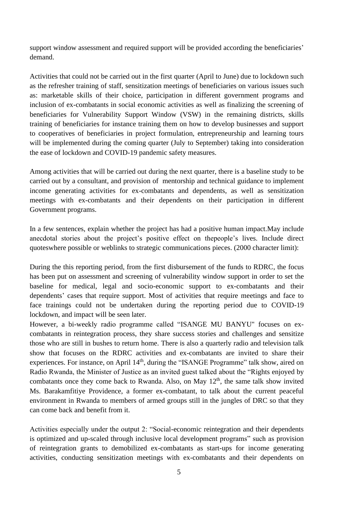support window assessment and required support will be provided according the beneficiaries' demand.

Activities that could not be carried out in the first quarter (April to June) due to lockdown such as the refresher training of staff, sensitization meetings of beneficiaries on various issues such as: marketable skills of their choice, participation in different government programs and inclusion of ex-combatants in social economic activities as well as finalizing the screening of beneficiaries for Vulnerability Support Window (VSW) in the remaining districts, skills training of beneficiaries for instance training them on how to develop businesses and support to cooperatives of beneficiaries in project formulation, entrepreneurship and learning tours will be implemented during the coming quarter (July to September) taking into consideration the ease of lockdown and COVID-19 pandemic safety measures.

Among activities that will be carried out during the next quarter, there is a baseline study to be carried out by a consultant, and provision of mentorship and technical guidance to implement income generating activities for ex-combatants and dependents, as well as sensitization meetings with ex-combatants and their dependents on their participation in different Government programs.

In a few sentences, explain whether the project has had a positive human impact.May include anecdotal stories about the project's positive effect on thepeople's lives. Include direct quoteswhere possible or weblinks to strategic communications pieces. (2000 character limit):

During the this reporting period, from the first disbursement of the funds to RDRC, the focus has been put on assessment and screening of vulnerability window support in order to set the baseline for medical, legal and socio-economic support to ex-combatants and their dependents' cases that require support. Most of activities that require meetings and face to face trainings could not be undertaken during the reporting period due to COVID-19 lockdown, and impact will be seen later.

However, a bi-weekly radio programme called "ISANGE MU BANYU" focuses on excombatants in reintegration process, they share success stories and challenges and sensitize those who are still in bushes to return home. There is also a quarterly radio and television talk show that focuses on the RDRC activities and ex-combatants are invited to share their experiences. For instance, on April 14<sup>th</sup>, during the "ISANGE Programme" talk show, aired on Radio Rwanda, the Minister of Justice as an invited guest talked about the "Rights enjoyed by combatants once they come back to Rwanda. Also, on May  $12<sup>th</sup>$ , the same talk show invited Ms. Barakamfitiye Providence, a former ex-combatant, to talk about the current peaceful environment in Rwanda to members of armed groups still in the jungles of DRC so that they can come back and benefit from it.

Activities especially under the output 2: "Social-economic reintegration and their dependents is optimized and up-scaled through inclusive local development programs" such as provision of reintegration grants to demobilized ex-combatants as start-ups for income generating activities, conducting sensitization meetings with ex-combatants and their dependents on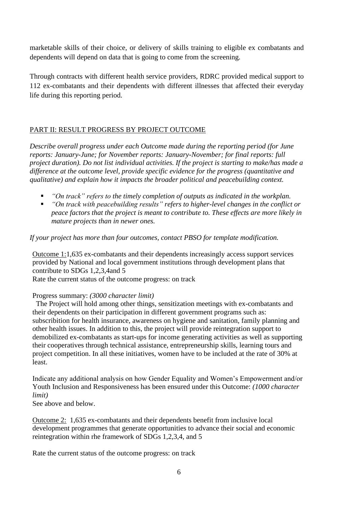marketable skills of their choice, or delivery of skills training to eligible ex combatants and dependents will depend on data that is going to come from the screening.

Through contracts with different health service providers, RDRC provided medical support to 112 ex-combatants and their dependents with different illnesses that affected their everyday life during this reporting period.

# PART II: RESULT PROGRESS BY PROJECT OUTCOME

*Describe overall progress under each Outcome made during the reporting period (for June reports: January-June; for November reports: January-November; for final reports: full project duration). Do not list individual activities. If the project is starting to make/has made a difference at the outcome level, provide specific evidence for the progress (quantitative and qualitative) and explain how it impacts the broader political and peacebuilding context.* 

- "On track" refers to the timely completion of outputs as indicated in the workplan.
- *"On track with peacebuilding results" refers to higher-level changes in the conflict or peace factors that the project is meant to contribute to. These effects are more likely in mature projects than in newer ones.*

# *If your project has more than four outcomes, contact PBSO for template modification.*

Outcome 1:1,635 ex-combatants and their dependents increasingly access support services provided by National and local government institutions through development plans that contribute to SDGs 1,2,3,4and 5

Rate the current status of the outcome progress: on track

# Progress summary: *(3000 character limit)*

The Project will hold among other things, sensitization meetings with ex-combatants and their dependents on their participation in different government programs such as: subscribition for health insurance, awareness on hygiene and sanitation, family planning and other health issues. In addition to this, the project will provide reintegration support to demobilized ex-combatants as start-ups for income generating activities as well as supporting their cooperatives through technical assistance, entrepreneurship skills, learning tours and project competition. In all these initiatives, women have to be included at the rate of 30% at least.

Indicate any additional analysis on how Gender Equality and Women's Empowerment and/or Youth Inclusion and Responsiveness has been ensured under this Outcome: *(1000 character limit)*

See above and below.

Outcome 2: 1,635 ex-combatants and their dependents benefit from inclusive local development programmes that generate opportunities to advance their social and economic reintegration within rhe framework of SDGs 1,2,3,4, and 5

Rate the current status of the outcome progress: on track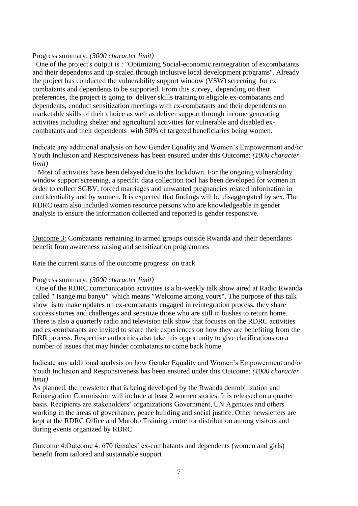#### Progress summary: *(3000 character limit)*

One of the project's output is : "Optimizing Social-economic reintegration of excombatants and their dependents and up-scaled through inclusive local development programs''. Already the project has conducted the vulnerability support window (VSW) screening for ex combatants and dependents to be supported. From this survey, depending on their preferences, the project is going to deliver skills training to eligible ex-combatants and dependents, conduct sensitization meetings with ex-combatants and their dependents on marketable skills of their choice as well as deliver support through income generating activities including shelter and agricultural activities for vulnerable and disabled excombatants and their dependents with 50% of targeted beneficiaries being women.

Indicate any additional analysis on how Gender Equality and Women's Empowerment and/or Youth Inclusion and Responsiveness has been ensured under this Outcome: *(1000 character limit)*

Most of activities have been delayed due to the lockdown. For the ongoing vulnerability window support screening, a specific data collection tool has been developed for women in order to collect SGBV, forced marriages and unwanted pregnancies related information in confidentiality and by women. It is expected that findings will be disaggregated by sex. The RDRC team also included women resource persons who are knowledgeable in gender analysis to ensure the information collected and reported is gender responsive.

Outcome 3: Combatants remaining in armed groups outside Rwanda and their dependants benefit from awareness raising and sensitization programmes

Rate the current status of the outcome progress: on track

#### Progress summary: *(3000 character limit)*

One of the RDRC communication activities is a bi-weekly talk show aired at Radio Rwanda called " Isange mu banyu" which means "Welcome among yours". The purpose of this talk show is to make updates on ex-combatants engaged in reintegration process, they share success stories and challenges and sensitize those who are still in bushes to return home. There is also a quarterly radio and television talk show that focuses on the RDRC activities and ex-combatants are invited to share their experiences on how they are benefiting from the DRR process. Respective authorities also take this opportunity to give clarifications on a number of issues that may hinder combatants to come back home.

Indicate any additional analysis on how Gender Equality and Women's Empowerment and/or Youth Inclusion and Responsiveness has been ensured under this Outcome: *(1000 character limit)*

As planned, the newsletter that is being developed by the Rwanda demobilization and Reintegration Commission will include at least 2 women stories. It is released on a quarter basis. Recipients are stakeholders' organizations Government, UN Agencies and others working in the areas of governance, peace building and social justice. Other newsletters are kept at the RDRC Office and Mutobo Training centre for distribution among visitors and during events organized by RDRC

Outcome 4:Outcome 4: 670 females' ex-combatants and dependents (women and girls) benefit from tailored and sustainable support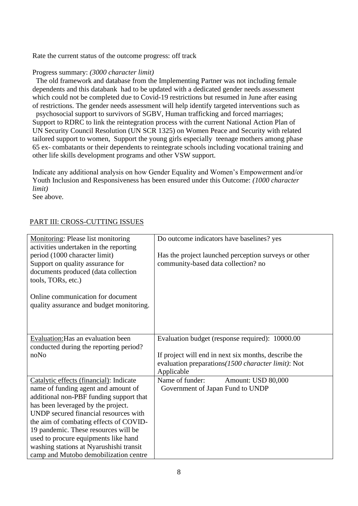Rate the current status of the outcome progress: off track

### Progress summary: *(3000 character limit)*

The old framework and database from the Implementing Partner was not including female dependents and this databank had to be updated with a dedicated gender needs assessment which could not be completed due to Covid-19 restrictions but resumed in June after easing of restrictions. The gender needs assessment will help identify targeted interventions such as psychosocial support to survivors of SGBV, Human trafficking and forced marriages; Support to RDRC to link the reintegration process with the current National Action Plan of UN Security Council Resolution (UN SCR 1325) on Women Peace and Security with related tailored support to women, Support the young girls especially teenage mothers among phase 65 ex- combatants or their dependents to reintegrate schools including vocational training and other life skills development programs and other VSW support.

Indicate any additional analysis on how Gender Equality and Women's Empowerment and/or Youth Inclusion and Responsiveness has been ensured under this Outcome: *(1000 character limit)*

See above.

## PART III: CROSS-CUTTING ISSUES

| <b>Monitoring: Please list monitoring</b><br>activities undertaken in the reporting<br>period (1000 character limit)<br>Support on quality assurance for<br>documents produced (data collection<br>tools, TORs, etc.)<br>Online communication for document<br>quality assurance and budget monitoring.                                                                                                                 | Do outcome indicators have baselines? yes<br>Has the project launched perception surveys or other<br>community-based data collection? no                                     |
|------------------------------------------------------------------------------------------------------------------------------------------------------------------------------------------------------------------------------------------------------------------------------------------------------------------------------------------------------------------------------------------------------------------------|------------------------------------------------------------------------------------------------------------------------------------------------------------------------------|
| Evaluation: Has an evaluation been<br>conducted during the reporting period?<br>noNo                                                                                                                                                                                                                                                                                                                                   | Evaluation budget (response required): 10000.00<br>If project will end in next six months, describe the<br>evaluation preparations (1500 character limit): Not<br>Applicable |
| Catalytic effects (financial): Indicate<br>name of funding agent and amount of<br>additional non-PBF funding support that<br>has been leveraged by the project.<br>UNDP secured financial resources with<br>the aim of combating effects of COVID-<br>19 pandemic. These resources will be<br>used to procure equipments like hand<br>washing stations at Nyarushishi transit<br>camp and Mutobo demobilization centre | Name of funder:<br>Amount: USD 80,000<br>Government of Japan Fund to UNDP                                                                                                    |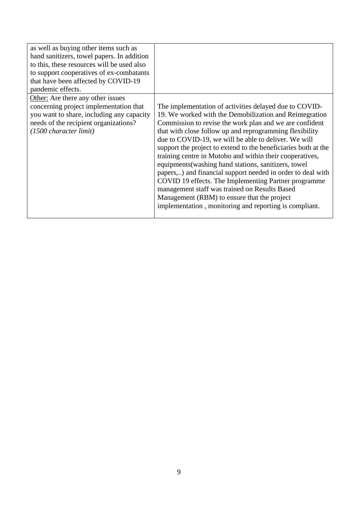| as well as buying other items such as<br>hand sanitizers, towel papers. In addition<br>to this, these resources will be used also<br>to support cooperatives of ex-combatants<br>that have been affected by COVID-19<br>pandemic effects.<br>Other: Are there any other issues |                                                                                                                                                                                                                                                                                                                                                                                                                                                                                                                                                                                                                                                                                                                                                                        |
|--------------------------------------------------------------------------------------------------------------------------------------------------------------------------------------------------------------------------------------------------------------------------------|------------------------------------------------------------------------------------------------------------------------------------------------------------------------------------------------------------------------------------------------------------------------------------------------------------------------------------------------------------------------------------------------------------------------------------------------------------------------------------------------------------------------------------------------------------------------------------------------------------------------------------------------------------------------------------------------------------------------------------------------------------------------|
| concerning project implementation that<br>you want to share, including any capacity<br>needs of the recipient organizations?<br>$(1500 \text{ character limit})$                                                                                                               | The implementation of activities delayed due to COVID-<br>19. We worked with the Demobilization and Reintegration<br>Commission to revise the work plan and we are confident<br>that with close follow up and reprogramming flexibility<br>due to COVID-19, we will be able to deliver. We will<br>support the project to extend to the beneficiaries both at the<br>training centre in Mutobo and within their cooperatives,<br>equipments (washing hand stations, sanitizers, towel<br>papers,) and financial support needed in order to deal with<br>COVID 19 effects. The Implementing Partner programme<br>management staff was trained on Results Based<br>Management (RBM) to ensure that the project<br>implementation, monitoring and reporting is compliant. |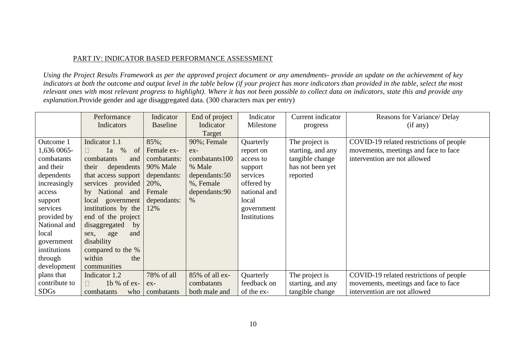### PART IV: INDICATOR BASED PERFORMANCE ASSESSMENT

*Using the Project Results Framework as per the approved project document or any amendments- provide an update on the achievement of key indicators at both the outcome and output level in the table below (if your project has more indicators than provided in the table, select the most relevant ones with most relevant progress to highlight). Where it has not been possible to collect data on indicators, state this and provide any explanation.*Provide gender and age disaggregated data. (300 characters max per entry)

|               | Performance             | Indicator       | End of project | Indicator    | Current indicator | Reasons for Variance/ Delay             |
|---------------|-------------------------|-----------------|----------------|--------------|-------------------|-----------------------------------------|
|               | Indicators              | <b>Baseline</b> | Indicator      | Milestone    | progress          | (if any)                                |
|               |                         |                 | Target         |              |                   |                                         |
| Outcome 1     | Indicator 1.1           | 85%;            | 90%; Female    | Quarterly    | The project is    | COVID-19 related restrictions of people |
| 1,636 0065-   | $\%$<br>of<br>1a        | Female ex-      | $ex-$          | report on    | starting, and any | movements, meetings and face to face    |
| combatants    | combatants<br>and       | combatants:     | combatants 100 | access to    | tangible change   | intervention are not allowed            |
| and their     | their<br>dependents     | 90% Male        | % Male         | support      | has not been yet  |                                         |
| dependents    | that access support     | dependants:     | dependants: 50 | services     | reported          |                                         |
| increasingly  | services provided       | 20%,            | %, Female      | offered by   |                   |                                         |
| access        | National and<br>by      | Female          | dependants:90  | national and |                   |                                         |
| support       | local government        | dependants:     | $\%$           | local        |                   |                                         |
| services      | institutions by the     | 12%             |                | government   |                   |                                         |
| provided by   | end of the project      |                 |                | Institutions |                   |                                         |
| National and  | disaggregated<br>by     |                 |                |              |                   |                                         |
| local         | age<br>and<br>sex,      |                 |                |              |                   |                                         |
| government    | disability              |                 |                |              |                   |                                         |
| institutions  | compared to the %       |                 |                |              |                   |                                         |
| through       | within<br>the           |                 |                |              |                   |                                         |
| development   | communities             |                 |                |              |                   |                                         |
| plans that    | Indicator 1.2           | 78% of all      | 85% of all ex- | Quarterly    | The project is    | COVID-19 related restrictions of people |
| contribute to | $1b$ % of ex-<br>$\Box$ | $ex-$           | combatants     | feedback on  | starting, and any | movements, meetings and face to face    |
| <b>SDGs</b>   | combatants<br>who       | combatants      | both male and  | of the ex-   | tangible change   | intervention are not allowed            |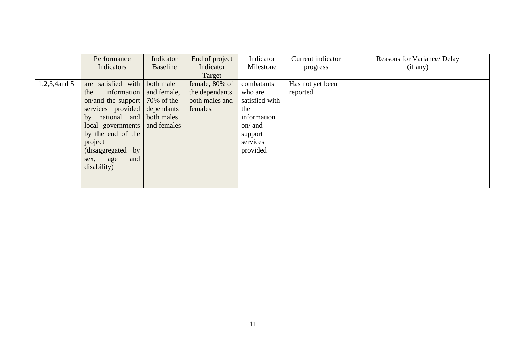|                 | Performance                     | Indicator   | End of project | Indicator      | Current indicator | Reasons for Variance/ Delay |
|-----------------|---------------------------------|-------------|----------------|----------------|-------------------|-----------------------------|
|                 | Indicators                      | Baseline    | Indicator      | Milestone      | progress          | (if any)                    |
|                 |                                 |             | Target         |                |                   |                             |
| $1,2,3,4$ and 5 | satisfied with<br>are           | both male   | female, 80% of | combatants     | Has not yet been  |                             |
|                 | information<br>the              | and female, | the dependants | who are        | reported          |                             |
|                 | on/and the support   70% of the |             | both males and | satisfied with |                   |                             |
|                 | services provided dependants    |             | females        | the            |                   |                             |
|                 | national and both males<br>by   |             |                | information    |                   |                             |
|                 | local governments               | and females |                | on/ and        |                   |                             |
|                 | by the end of the               |             |                | support        |                   |                             |
|                 | project                         |             |                | services       |                   |                             |
|                 | (disaggregated by               |             |                | provided       |                   |                             |
|                 | and<br>sex, age                 |             |                |                |                   |                             |
|                 | disability)                     |             |                |                |                   |                             |
|                 |                                 |             |                |                |                   |                             |
|                 |                                 |             |                |                |                   |                             |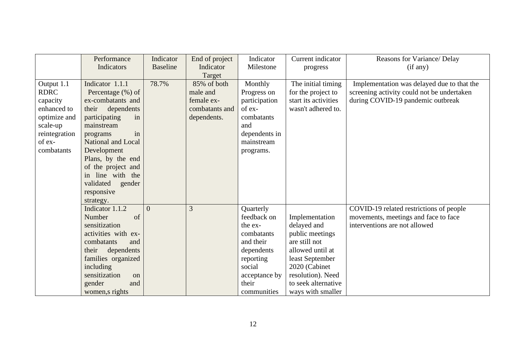|                                                                                                                           | Performance<br>Indicators                                                                                                                                                                                                                                                                     | Indicator<br><b>Baseline</b> | End of project<br>Indicator                                            | Indicator<br>Milestone                                                                                                                       | Current indicator<br>progress                                                                                                                                                              | Reasons for Variance/ Delay<br>(if any)                                                                                       |
|---------------------------------------------------------------------------------------------------------------------------|-----------------------------------------------------------------------------------------------------------------------------------------------------------------------------------------------------------------------------------------------------------------------------------------------|------------------------------|------------------------------------------------------------------------|----------------------------------------------------------------------------------------------------------------------------------------------|--------------------------------------------------------------------------------------------------------------------------------------------------------------------------------------------|-------------------------------------------------------------------------------------------------------------------------------|
|                                                                                                                           |                                                                                                                                                                                                                                                                                               |                              | Target                                                                 |                                                                                                                                              |                                                                                                                                                                                            |                                                                                                                               |
| Output 1.1<br><b>RDRC</b><br>capacity<br>enhanced to<br>optimize and<br>scale-up<br>reintegration<br>of ex-<br>combatants | Indicator 1.1.1<br>Percentage (%) of<br>ex-combatants and<br>their<br>dependents<br>participating<br>in<br>mainstream<br>in<br>programs<br>National and Local<br>Development<br>Plans, by the end<br>of the project and<br>in line with the<br>validated<br>gender<br>responsive<br>strategy. | 78.7%                        | 85% of both<br>male and<br>female ex-<br>combatants and<br>dependents. | Monthly<br>Progress on<br>participation<br>of ex-<br>combatants<br>and<br>dependents in<br>mainstream<br>programs.                           | The initial timing<br>for the project to<br>start its activities<br>wasn't adhered to.                                                                                                     | Implementation was delayed due to that the<br>screening activity could not be undertaken<br>during COVID-19 pandemic outbreak |
|                                                                                                                           | Indicator 1.1.2<br>Number<br>of<br>sensitization<br>activities with ex-<br>combatants<br>and<br>their<br>dependents<br>families organized<br>including<br>sensitization<br>on<br>gender<br>and<br>women, srights                                                                              | $\overline{0}$               | 3                                                                      | Quarterly<br>feedback on<br>the ex-<br>combatants<br>and their<br>dependents<br>reporting<br>social<br>acceptance by<br>their<br>communities | Implementation<br>delayed and<br>public meetings<br>are still not<br>allowed until at<br>least September<br>2020 (Cabinet<br>resolution). Need<br>to seek alternative<br>ways with smaller | COVID-19 related restrictions of people<br>movements, meetings and face to face<br>interventions are not allowed              |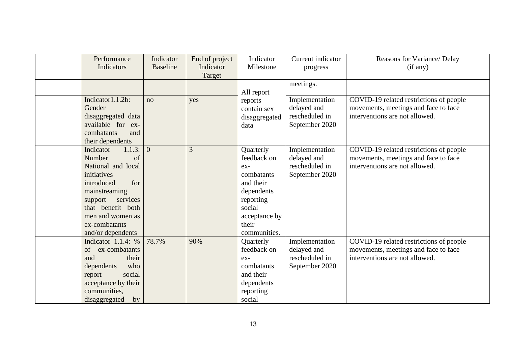| Performance<br>Indicators                                                                                                                                                                                         | Indicator<br><b>Baseline</b> | End of project<br>Indicator<br>Target | Indicator<br>Milestone                                                                                                                    | Current indicator<br>progress                                     | Reasons for Variance/ Delay<br>(if any)                                                                           |
|-------------------------------------------------------------------------------------------------------------------------------------------------------------------------------------------------------------------|------------------------------|---------------------------------------|-------------------------------------------------------------------------------------------------------------------------------------------|-------------------------------------------------------------------|-------------------------------------------------------------------------------------------------------------------|
|                                                                                                                                                                                                                   |                              |                                       | All report                                                                                                                                | meetings.                                                         |                                                                                                                   |
| Indicator1.1.2b:<br>Gender<br>disaggregated data<br>available for ex-<br>combatants<br>and<br>their dependents                                                                                                    | no                           | yes                                   | reports<br>contain sex<br>disaggregated<br>data                                                                                           | Implementation<br>delayed and<br>rescheduled in<br>September 2020 | COVID-19 related restrictions of people<br>movements, meetings and face to face<br>interventions are not allowed. |
| 1.1.3:<br>Indicator<br>Number<br>of<br>National and local<br>initiatives<br>introduced<br>for<br>mainstreaming<br>support services<br>that benefit both<br>men and women as<br>ex-combatants<br>and/or dependents | $\overline{0}$               | $\overline{3}$                        | Quarterly<br>feedback on<br>ex-<br>combatants<br>and their<br>dependents<br>reporting<br>social<br>acceptance by<br>their<br>communities. | Implementation<br>delayed and<br>rescheduled in<br>September 2020 | COVID-19 related restrictions of people<br>movements, meetings and face to face<br>interventions are not allowed. |
| Indicator $1.1.4: %$<br>of<br>ex-combatants<br>their<br>and<br>who<br>dependents<br>social<br>report<br>acceptance by their<br>communities,<br>disaggregated<br>by                                                | 78.7%                        | 90%                                   | Quarterly<br>feedback on<br>$ex-$<br>combatants<br>and their<br>dependents<br>reporting<br>social                                         | Implementation<br>delayed and<br>rescheduled in<br>September 2020 | COVID-19 related restrictions of people<br>movements, meetings and face to face<br>interventions are not allowed. |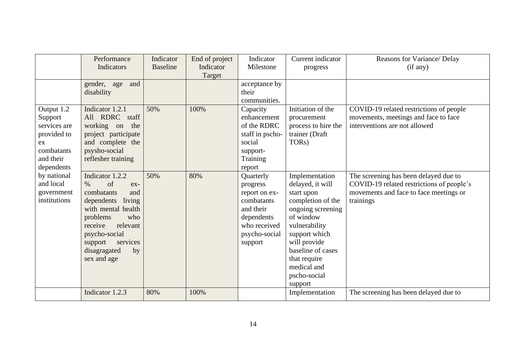|                                                                                                     | Performance<br>Indicators                                                                                                                                                                                                        | Indicator<br><b>Baseline</b> | End of project<br>Indicator<br>Target | Indicator<br>Milestone                                                                                                      | Current indicator<br>progress                                                                                                                                                                                                            | Reasons for Variance/ Delay<br>(if any)                                                                                                   |
|-----------------------------------------------------------------------------------------------------|----------------------------------------------------------------------------------------------------------------------------------------------------------------------------------------------------------------------------------|------------------------------|---------------------------------------|-----------------------------------------------------------------------------------------------------------------------------|------------------------------------------------------------------------------------------------------------------------------------------------------------------------------------------------------------------------------------------|-------------------------------------------------------------------------------------------------------------------------------------------|
|                                                                                                     | gender, age<br>and<br>disability                                                                                                                                                                                                 |                              |                                       | acceptance by<br>their<br>communities.                                                                                      |                                                                                                                                                                                                                                          |                                                                                                                                           |
| Output 1.2<br>Support<br>services are<br>provided to<br>ex<br>combatants<br>and their<br>dependents | Indicator 1.2.1<br>All RDRC staff<br>working on<br>the<br>project participate<br>and complete the<br>psysho-social<br>reflesher training                                                                                         | 50%                          | 100%                                  | Capacity<br>enhancement<br>of the RDRC<br>staff in pscho-<br>social<br>support-<br>Training<br>report                       | Initiation of the<br>procurement<br>process to hire the<br>trainer (Draft<br>TOR <sub>s</sub> )                                                                                                                                          | COVID-19 related restrictions of people<br>movements, meetings and face to face<br>interventions are not allowed                          |
| by national<br>and local<br>government<br>institutions                                              | Indicator 1.2.2<br>of<br>$\%$<br>$ex-$<br>combatants<br>and<br>dependents<br>living<br>with mental health<br>problems<br>who<br>receive<br>relevant<br>psycho-social<br>services<br>support<br>disagragated<br>by<br>sex and age | 50%                          | 80%                                   | Quarterly<br>progress<br>report on ex-<br>combatants<br>and their<br>dependents<br>who received<br>psycho-social<br>support | Implementation<br>delayed, it will<br>start upon<br>completion of the<br>ongoing screening<br>of window<br>vulnerability<br>support which<br>will provide<br>baseline of cases<br>that require<br>medical and<br>pscho-social<br>support | The screening has been delayed due to<br>COVID-19 related restrictions of people's<br>movements and face to face meetings or<br>trainings |
|                                                                                                     | Indicator 1.2.3                                                                                                                                                                                                                  | 80%                          | 100%                                  |                                                                                                                             | Implementation                                                                                                                                                                                                                           | The screening has been delayed due to                                                                                                     |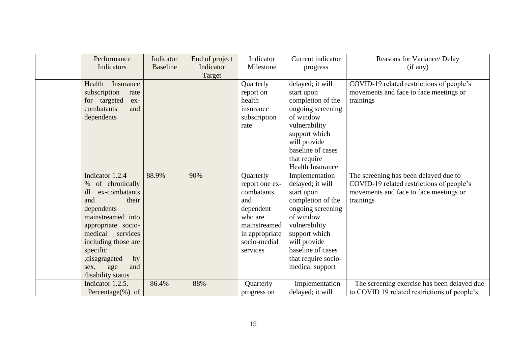| Performance              | Indicator       | End of project | Indicator      | Current indicator       | Reasons for Variance/ Delay                  |
|--------------------------|-----------------|----------------|----------------|-------------------------|----------------------------------------------|
| Indicators               | <b>Baseline</b> | Indicator      | Milestone      | progress                | (if any)                                     |
|                          |                 | Target         |                |                         |                                              |
| Health<br>Insurance      |                 |                | Quarterly      | delayed; it will        | COVID-19 related restrictions of people's    |
| subscription<br>rate     |                 |                | report on      | start upon              | movements and face to face meetings or       |
| targeted<br>for<br>$ex-$ |                 |                | health         | completion of the       | trainings                                    |
| combatants<br>and        |                 |                | insurance      | ongoing screening       |                                              |
| dependents               |                 |                | subscription   | of window               |                                              |
|                          |                 |                | rate           | vulnerability           |                                              |
|                          |                 |                |                | support which           |                                              |
|                          |                 |                |                | will provide            |                                              |
|                          |                 |                |                | baseline of cases       |                                              |
|                          |                 |                |                | that require            |                                              |
|                          |                 |                |                | <b>Health Insurance</b> |                                              |
| Indicator 1.2.4          | 88.9%           | 90%            | Quarterly      | Implementation          | The screening has been delayed due to        |
| of chronically<br>$\%$   |                 |                | report one ex- | delayed; it will        | COVID-19 related restrictions of people's    |
| ill<br>ex-combatants     |                 |                | combatants     | start upon              | movements and face to face meetings or       |
| their<br>and             |                 |                | and            | completion of the       | trainings                                    |
| dependents               |                 |                | dependent      | ongoing screening       |                                              |
| mainstreamed into        |                 |                | who are        | of window               |                                              |
| appropriate socio-       |                 |                | mainstreamed   | vulnerability           |                                              |
| medical<br>services      |                 |                | in appropriate | support which           |                                              |
| including those are      |                 |                | socio-medial   | will provide            |                                              |
| specific                 |                 |                | services       | baseline of cases       |                                              |
| , disagragated<br>by     |                 |                |                | that require socio-     |                                              |
| age<br>and<br>sex,       |                 |                |                | medical support         |                                              |
| disability status        |                 |                |                |                         |                                              |
| Indicator 1.2.5.         | 86.4%           | 88%            | Quarterly      | Implementation          | The screening exercise has been delayed due  |
| Percentage $(\%)$ of     |                 |                | progress on    | delayed; it will        | to COVID 19 related restrictions of people's |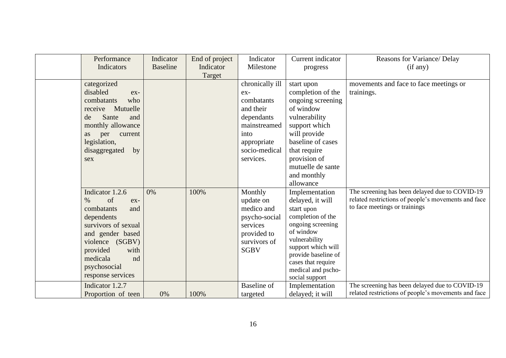| Performance<br>Indicators                                                                                                                                                                                        | Indicator<br><b>Baseline</b> | End of project<br>Indicator | Indicator<br>Milestone                                                                                                               | Current indicator<br>progress                                                                                                                                                                                                       | Reasons for Variance/ Delay<br>(if any)                                                                                                |
|------------------------------------------------------------------------------------------------------------------------------------------------------------------------------------------------------------------|------------------------------|-----------------------------|--------------------------------------------------------------------------------------------------------------------------------------|-------------------------------------------------------------------------------------------------------------------------------------------------------------------------------------------------------------------------------------|----------------------------------------------------------------------------------------------------------------------------------------|
|                                                                                                                                                                                                                  |                              | Target                      |                                                                                                                                      |                                                                                                                                                                                                                                     |                                                                                                                                        |
| categorized<br>disabled<br>ex-<br>combatants<br>who<br>Mutuelle<br>receive<br>Sante<br>de<br>and<br>monthly allowance<br>per<br>current<br>as<br>legislation,<br>disaggregated<br>by<br>sex                      |                              |                             | chronically ill<br>ex-<br>combatants<br>and their<br>dependants<br>mainstreamed<br>into<br>appropriate<br>socio-medical<br>services. | start upon<br>completion of the<br>ongoing screening<br>of window<br>vulnerability<br>support which<br>will provide<br>baseline of cases<br>that require<br>provision of<br>mutuelle de sante<br>and monthly<br>allowance           | movements and face to face meetings or<br>trainings.                                                                                   |
| Indicator 1.2.6<br>of<br>$\%$<br>ex-<br>combatants<br>and<br>dependents<br>survivors of sexual<br>and gender based<br>violence (SGBV)<br>provided<br>with<br>medicala<br>nd<br>psychosocial<br>response services | 0%                           | 100%                        | Monthly<br>update on<br>medico and<br>psycho-social<br>services<br>provided to<br>survivors of<br><b>SGBV</b>                        | Implementation<br>delayed, it will<br>start upon<br>completion of the<br>ongoing screening<br>of window<br>vulnerability<br>support which will<br>provide baseline of<br>cases that require<br>medical and pscho-<br>social support | The screening has been delayed due to COVID-19<br>related restrictions of people's movements and face<br>to face meetings or trainings |
| Indicator 1.2.7<br>Proportion of teen                                                                                                                                                                            | 0%                           | 100%                        | <b>Baseline</b> of<br>targeted                                                                                                       | Implementation<br>delayed; it will                                                                                                                                                                                                  | The screening has been delayed due to COVID-19<br>related restrictions of people's movements and face                                  |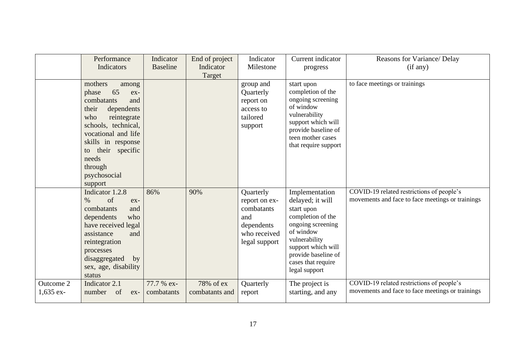|                          | Performance<br>Indicators                                                                                                                                                                                                                           | Indicator<br><b>Baseline</b> | End of project<br>Indicator | Indicator<br>Milestone                                                                         | Current indicator<br>progress                                                                                                                                                                                | Reasons for Variance/ Delay<br>(if any)                                                       |
|--------------------------|-----------------------------------------------------------------------------------------------------------------------------------------------------------------------------------------------------------------------------------------------------|------------------------------|-----------------------------|------------------------------------------------------------------------------------------------|--------------------------------------------------------------------------------------------------------------------------------------------------------------------------------------------------------------|-----------------------------------------------------------------------------------------------|
|                          | mothers<br>among<br>65<br>phase<br>ex-<br>combatants<br>and<br>their<br>dependents<br>who<br>reintegrate<br>schools, technical,<br>vocational and life<br>skills in response<br>their specific<br>to<br>needs<br>through<br>psychosocial<br>support |                              | Target                      | group and<br>Quarterly<br>report on<br>access to<br>tailored<br>support                        | start upon<br>completion of the<br>ongoing screening<br>of window<br>vulnerability<br>support which will<br>provide baseline of<br>teen mother cases<br>that require support                                 | to face meetings or trainings                                                                 |
|                          | Indicator 1.2.8<br>of<br>$\%$<br>ex-<br>combatants<br>and<br>dependents<br>who<br>have received legal<br>assistance<br>and<br>reintegration<br>processes<br>disaggregated<br>by<br>sex, age, disability<br>status                                   | 86%                          | 90%                         | Quarterly<br>report on ex-<br>combatants<br>and<br>dependents<br>who received<br>legal support | Implementation<br>delayed; it will<br>start upon<br>completion of the<br>ongoing screening<br>of window<br>vulnerability<br>support which will<br>provide baseline of<br>cases that require<br>legal support | COVID-19 related restrictions of people's<br>movements and face to face meetings or trainings |
| Outcome 2<br>$1,635$ ex- | Indicator 2.1<br>number<br>of<br>$ex-$                                                                                                                                                                                                              | 77.7 % ex-<br>combatants     | 78% of ex<br>combatants and | Quarterly<br>report                                                                            | The project is<br>starting, and any                                                                                                                                                                          | COVID-19 related restrictions of people's<br>movements and face to face meetings or trainings |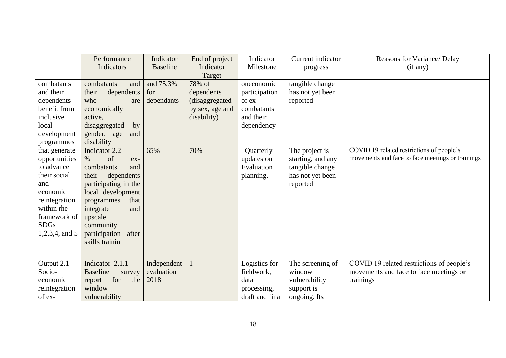|                           | Performance                    | Indicator       | End of project   | Indicator       | Current indicator | Reasons for Variance/ Delay                      |
|---------------------------|--------------------------------|-----------------|------------------|-----------------|-------------------|--------------------------------------------------|
|                           | Indicators                     | <b>Baseline</b> | Indicator        | Milestone       | progress          | (if any)                                         |
| combatants                | combatants<br>and              | and 75.3%       | Target<br>78% of | oneconomic      | tangible change   |                                                  |
| and their                 | their<br>dependents            | for             | dependents       | participation   | has not yet been  |                                                  |
| dependents                | who<br>are                     | dependants      | (disaggregated   | of ex-          | reported          |                                                  |
| benefit from              | economically                   |                 | by sex, age and  | combatants      |                   |                                                  |
| inclusive                 | active,                        |                 | disability)      | and their       |                   |                                                  |
| local                     | disaggregated<br>by            |                 |                  | dependency      |                   |                                                  |
| development               | gender, age<br>and             |                 |                  |                 |                   |                                                  |
| programmes                | disability                     |                 |                  |                 |                   |                                                  |
| that generate             | Indicator 2.2                  | 65%             | 70%              | Quarterly       | The project is    | COVID 19 related restrictions of people's        |
| opportunities             | of<br>$\%$<br>$ex-$            |                 |                  | updates on      | starting, and any | movements and face to face meetings or trainings |
| to advance                | combatants<br>and              |                 |                  | Evaluation      | tangible change   |                                                  |
| their social              | their<br>dependents            |                 |                  | planning.       | has not yet been  |                                                  |
| and                       | participating in the           |                 |                  |                 | reported          |                                                  |
| economic<br>reintegration | local development<br>that      |                 |                  |                 |                   |                                                  |
| within rhe                | programmes<br>integrate<br>and |                 |                  |                 |                   |                                                  |
| framework of              | upscale                        |                 |                  |                 |                   |                                                  |
| <b>SDGs</b>               | community                      |                 |                  |                 |                   |                                                  |
| 1,2,3,4, and 5            | participation<br>after         |                 |                  |                 |                   |                                                  |
|                           | skills trainin                 |                 |                  |                 |                   |                                                  |
|                           |                                |                 |                  |                 |                   |                                                  |
| Output 2.1                | Indicator 2.1.1                | Independent     |                  | Logistics for   | The screening of  | COVID 19 related restrictions of people's        |
| Socio-                    | <b>Baseline</b><br>survey      | evaluation      |                  | fieldwork,      | window            | movements and face to face meetings or           |
| economic                  | for<br>the<br>report           | 2018            |                  | data            | vulnerability     | trainings                                        |
| reintegration             | window                         |                 |                  | processing,     | support is        |                                                  |
| of ex-                    | vulnerability                  |                 |                  | draft and final | ongoing. Its      |                                                  |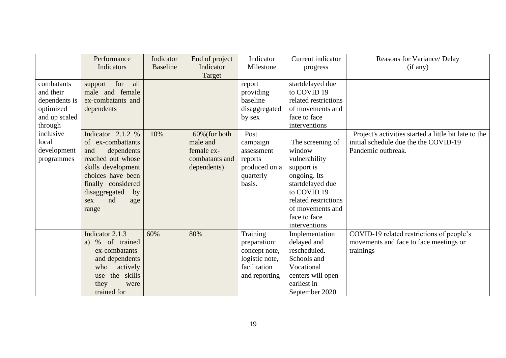|               | Performance           | Indicator       | End of project   | Indicator      | Current indicator    | Reasons for Variance/ Delay                           |
|---------------|-----------------------|-----------------|------------------|----------------|----------------------|-------------------------------------------------------|
|               | Indicators            | <b>Baseline</b> | Indicator        | Milestone      | progress             | (if any)                                              |
|               |                       |                 | Target           |                |                      |                                                       |
| combatants    | all<br>for<br>support |                 |                  | report         | startdelayed due     |                                                       |
| and their     | male and female       |                 |                  | providing      | to COVID 19          |                                                       |
| dependents is | ex-combatants and     |                 |                  | baseline       | related restrictions |                                                       |
| optimized     | dependents            |                 |                  | disaggregated  | of movements and     |                                                       |
| and up scaled |                       |                 |                  | by sex         | face to face         |                                                       |
| through       |                       |                 |                  |                | interventions        |                                                       |
| inclusive     | Indicator $2.1.2\%$   | 10%             | $60\%$ (for both | Post           |                      | Project's activities started a little bit late to the |
| local         | of ex-combattants     |                 | male and         | campaign       | The screening of     | initial schedule due the the COVID-19                 |
| development   | and<br>dependents     |                 | female ex-       | assessment     | window               | Pandemic outbreak.                                    |
| programmes    | reached out whose     |                 | combatants and   | reports        | vulnerability        |                                                       |
|               | skills development    |                 | dependents)      | produced on a  | support is           |                                                       |
|               | choices have been     |                 |                  | quarterly      | ongoing. Its         |                                                       |
|               | finally considered    |                 |                  | basis.         | startdelayed due     |                                                       |
|               | disaggregated<br>by   |                 |                  |                | to COVID 19          |                                                       |
|               | nd<br>sex<br>age      |                 |                  |                | related restrictions |                                                       |
|               | range                 |                 |                  |                | of movements and     |                                                       |
|               |                       |                 |                  |                | face to face         |                                                       |
|               |                       |                 |                  |                | interventions        |                                                       |
|               | Indicator 2.1.3       | 60%             | 80%              | Training       | Implementation       | COVID-19 related restrictions of people's             |
|               | of trained<br>%<br>a) |                 |                  | preparation:   | delayed and          | movements and face to face meetings or                |
|               | ex-combatants         |                 |                  | concept note,  | rescheduled.         | trainings                                             |
|               | and dependents        |                 |                  | logistic note, | Schools and          |                                                       |
|               | actively<br>who       |                 |                  | facilitation   | Vocational           |                                                       |
|               | the skills<br>use     |                 |                  | and reporting  | centers will open    |                                                       |
|               | they<br>were          |                 |                  |                | earliest in          |                                                       |
|               | trained for           |                 |                  |                | September 2020       |                                                       |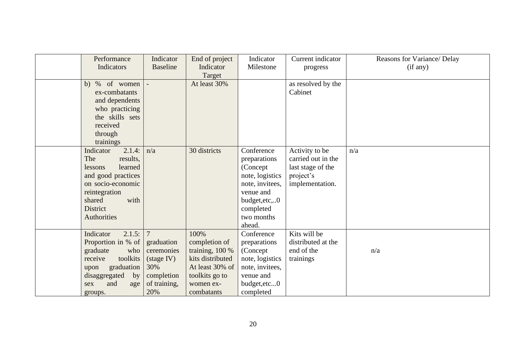| Performance         | Indicator       | End of project   | Indicator       | Current indicator  | Reasons for Variance/ Delay |
|---------------------|-----------------|------------------|-----------------|--------------------|-----------------------------|
| Indicators          | <b>Baseline</b> | Indicator        | Milestone       | progress           | (if any)                    |
|                     |                 | Target           |                 |                    |                             |
| % of women<br>b)    |                 | At least 30%     |                 | as resolved by the |                             |
| ex-combatants       |                 |                  |                 | Cabinet            |                             |
| and dependents      |                 |                  |                 |                    |                             |
| who practicing      |                 |                  |                 |                    |                             |
| the skills sets     |                 |                  |                 |                    |                             |
| received            |                 |                  |                 |                    |                             |
| through             |                 |                  |                 |                    |                             |
| trainings           |                 |                  |                 |                    |                             |
| 2.1.4:<br>Indicator | n/a             | 30 districts     | Conference      | Activity to be     | n/a                         |
| results,<br>The     |                 |                  | preparations    | carried out in the |                             |
| learned<br>lessons  |                 |                  | (Concept)       | last stage of the  |                             |
| and good practices  |                 |                  | note, logistics | project's          |                             |
| on socio-economic   |                 |                  | note, invitees, | implementation.    |                             |
| reintegration       |                 |                  | venue and       |                    |                             |
| shared<br>with      |                 |                  | budget, etc,0   |                    |                             |
| <b>District</b>     |                 |                  | completed       |                    |                             |
| <b>Authorities</b>  |                 |                  | two months      |                    |                             |
|                     |                 |                  | ahead.          |                    |                             |
| Indicator<br>2.1.5: | $7\phantom{.0}$ | 100%             | Conference      | Kits will be       |                             |
| Proportion in % of  | graduation      | completion of    | preparations    | distributed at the |                             |
| graduate<br>who     | ceremonies      | training, 100 %  | (Concept)       | end of the         | n/a                         |
| toolkits<br>receive | (stage IV)      | kits distributed | note, logistics | trainings          |                             |
| graduation<br>upon  | 30%             | At least 30% of  | note, invitees, |                    |                             |
| disaggregated<br>by | completion      | toolkits go to   | venue and       |                    |                             |
| and<br>sex<br>age   | of training,    | women ex-        | budget, etc0    |                    |                             |
| groups.             | 20%             | combatants       | completed       |                    |                             |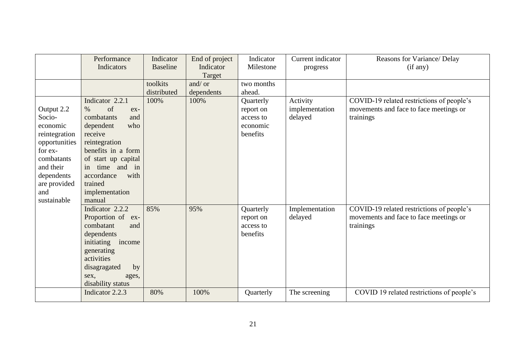|                                                                                                                                                              | Performance<br>Indicators                                                                                                                                                                                                                   | Indicator<br><b>Baseline</b> | End of project<br>Indicator<br>Target | Indicator<br>Milestone                                      | Current indicator<br>progress         | Reasons for Variance/ Delay<br>(if any)                                                          |
|--------------------------------------------------------------------------------------------------------------------------------------------------------------|---------------------------------------------------------------------------------------------------------------------------------------------------------------------------------------------------------------------------------------------|------------------------------|---------------------------------------|-------------------------------------------------------------|---------------------------------------|--------------------------------------------------------------------------------------------------|
|                                                                                                                                                              |                                                                                                                                                                                                                                             | toolkits<br>distributed      | and/ or<br>dependents                 | two months<br>ahead.                                        |                                       |                                                                                                  |
| Output 2.2<br>Socio-<br>economic<br>reintegration<br>opportunities<br>for ex-<br>combatants<br>and their<br>dependents<br>are provided<br>and<br>sustainable | Indicator 2.2.1<br>of<br>$\%$<br>$ex-$<br>combatants<br>and<br>who<br>dependent<br>receive<br>reintegration<br>benefits in a form<br>of start up capital<br>time and in<br>in.<br>with<br>accordance<br>trained<br>implementation<br>manual | 100%                         | 100%                                  | Quarterly<br>report on<br>access to<br>economic<br>benefits | Activity<br>implementation<br>delayed | COVID-19 related restrictions of people's<br>movements and face to face meetings or<br>trainings |
|                                                                                                                                                              | Indicator 2.2.2<br>Proportion of<br>$ex-$<br>combatant<br>and<br>dependents<br>initiating income<br>generating<br>activities<br>by<br>disagragated<br>sex,<br>ages,<br>disability status                                                    | 85%                          | 95%                                   | Quarterly<br>report on<br>access to<br>benefits             | Implementation<br>delayed             | COVID-19 related restrictions of people's<br>movements and face to face meetings or<br>trainings |
|                                                                                                                                                              | Indicator 2.2.3                                                                                                                                                                                                                             | 80%                          | 100%                                  | Quarterly                                                   | The screening                         | COVID 19 related restrictions of people's                                                        |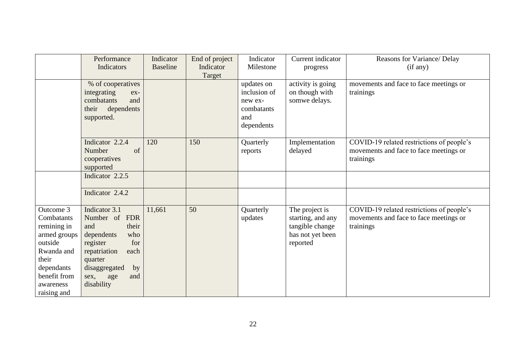|                                                                                                                                                    | Performance                                                                                                                                                                                    | Indicator       | End of project | Indicator                                                                | Current indicator                                                                      | Reasons for Variance/ Delay                                                                      |
|----------------------------------------------------------------------------------------------------------------------------------------------------|------------------------------------------------------------------------------------------------------------------------------------------------------------------------------------------------|-----------------|----------------|--------------------------------------------------------------------------|----------------------------------------------------------------------------------------|--------------------------------------------------------------------------------------------------|
|                                                                                                                                                    | Indicators                                                                                                                                                                                     | <b>Baseline</b> | Indicator      | Milestone                                                                | progress                                                                               | (if any)                                                                                         |
|                                                                                                                                                    | % of cooperatives<br>integrating<br>ex-<br>combatants<br>and<br>their<br>dependents<br>supported.                                                                                              |                 | Target         | updates on<br>inclusion of<br>new ex-<br>combatants<br>and<br>dependents | activity is going<br>on though with<br>somwe delays.                                   | movements and face to face meetings or<br>trainings                                              |
|                                                                                                                                                    | Indicator 2.2.4<br>of<br>Number<br>cooperatives<br>supported                                                                                                                                   | 120             | 150            | Quarterly<br>reports                                                     | Implementation<br>delayed                                                              | COVID-19 related restrictions of people's<br>movements and face to face meetings or<br>trainings |
|                                                                                                                                                    | Indicator 2.2.5                                                                                                                                                                                |                 |                |                                                                          |                                                                                        |                                                                                                  |
|                                                                                                                                                    | Indicator 2.4.2                                                                                                                                                                                |                 |                |                                                                          |                                                                                        |                                                                                                  |
| Outcome 3<br>Combatants<br>remining in<br>armed groups<br>outside<br>Rwanda and<br>their<br>dependants<br>benefit from<br>awareness<br>raising and | Indicator 3.1<br><b>FDR</b><br>Number of<br>their<br>and<br>dependents<br>who<br>for<br>register<br>repatriation<br>each<br>quarter<br>disaggregated<br>by<br>and<br>sex,<br>age<br>disability | 11,661          | 50             | Quarterly<br>updates                                                     | The project is<br>starting, and any<br>tangible change<br>has not yet been<br>reported | COVID-19 related restrictions of people's<br>movements and face to face meetings or<br>trainings |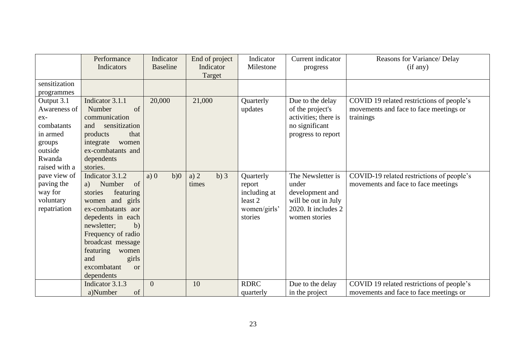|                                                                                                               | Performance<br>Indicators                                                                                                                                                                                                                                                     | Indicator<br><b>Baseline</b> | End of project<br>Indicator | Indicator<br>Milestone                                                    | Current indicator<br>progress                                                                                | Reasons for Variance/ Delay<br>(if any)                                                          |
|---------------------------------------------------------------------------------------------------------------|-------------------------------------------------------------------------------------------------------------------------------------------------------------------------------------------------------------------------------------------------------------------------------|------------------------------|-----------------------------|---------------------------------------------------------------------------|--------------------------------------------------------------------------------------------------------------|--------------------------------------------------------------------------------------------------|
| sensitization<br>programmes                                                                                   |                                                                                                                                                                                                                                                                               |                              | Target                      |                                                                           |                                                                                                              |                                                                                                  |
| Output 3.1<br>Awareness of<br>$ex-$<br>combatants<br>in armed<br>groups<br>outside<br>Rwanda<br>raised with a | Indicator 3.1.1<br>of<br>Number<br>communication<br>sensitization<br>and<br>products<br>that<br>integrate<br>women<br>ex-combatants and<br>dependents<br>stories.                                                                                                             | 20,000                       | 21,000                      | Quarterly<br>updates                                                      | Due to the delay<br>of the project's<br>activities; there is<br>no significant<br>progress to report         | COVID 19 related restrictions of people's<br>movements and face to face meetings or<br>trainings |
| pave view of<br>paving the<br>way for<br>voluntary<br>repatriation                                            | Indicator 3.1.2<br>of<br>Number<br>a)<br>featuring<br>stories<br>and girls<br>women<br>ex-combatants aor<br>depedents in each<br>newsletter;<br>b)<br>Frequency of radio<br>broadcast message<br>featuring<br>women<br>girls<br>and<br>excombatant<br><b>or</b><br>dependents | a) 0<br>b)0                  | $b)$ 3<br>a) $2$<br>times   | Quarterly<br>report<br>including at<br>least 2<br>women/girls'<br>stories | The Newsletter is<br>under<br>development and<br>will be out in July<br>2020. It includes 2<br>women stories | COVID-19 related restrictions of people's<br>movements and face to face meetings                 |
|                                                                                                               | Indicator 3.1.3<br>of<br>a)Number                                                                                                                                                                                                                                             | $\overline{0}$               | 10                          | <b>RDRC</b><br>quarterly                                                  | Due to the delay<br>in the project                                                                           | COVID 19 related restrictions of people's<br>movements and face to face meetings or              |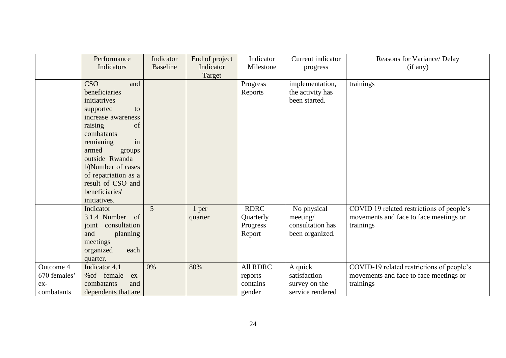|                                                  | Performance                                                                                                                                                                                                                                                            | Indicator       | End of project   | Indicator                                      | Current indicator                                              | Reasons for Variance/ Delay                                                                      |
|--------------------------------------------------|------------------------------------------------------------------------------------------------------------------------------------------------------------------------------------------------------------------------------------------------------------------------|-----------------|------------------|------------------------------------------------|----------------------------------------------------------------|--------------------------------------------------------------------------------------------------|
|                                                  | Indicators                                                                                                                                                                                                                                                             | <b>Baseline</b> | Indicator        | Milestone                                      | progress                                                       | (if any)                                                                                         |
|                                                  | <b>CSO</b><br>and<br>beneficiaries<br>initiatrives<br>supported<br>to<br>increase awareness<br>raising<br>of<br>combatants<br>in<br>remianing<br>armed<br>groups<br>outside Rwanda<br>b)Number of cases<br>of repatriation as a<br>result of CSO and<br>beneficiaries' |                 | Target           | Progress<br>Reports                            | implementation,<br>the activity has<br>been started.           | trainings                                                                                        |
|                                                  | initiatives.<br>Indicator<br>3.1.4 Number of<br>consultation<br>joint<br>and<br>planning<br>meetings<br>organized<br>each<br>quarter.                                                                                                                                  | 5               | 1 per<br>quarter | <b>RDRC</b><br>Quarterly<br>Progress<br>Report | No physical<br>meeting/<br>consultation has<br>been organized. | COVID 19 related restrictions of people's<br>movements and face to face meetings or<br>trainings |
| Outcome 4<br>670 females'<br>$ex-$<br>combatants | Indicator 4.1<br>% of female<br>$ex-$<br>combatants<br>and<br>dependents that are                                                                                                                                                                                      | 0%              | 80%              | All RDRC<br>reports<br>contains<br>gender      | A quick<br>satisfaction<br>survey on the<br>service rendered   | COVID-19 related restrictions of people's<br>movements and face to face meetings or<br>trainings |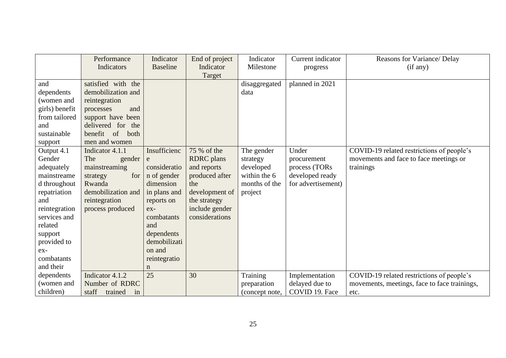|                | Performance            | Indicator       | End of project    | Indicator      | Current indicator  | Reasons for Variance/ Delay                  |
|----------------|------------------------|-----------------|-------------------|----------------|--------------------|----------------------------------------------|
|                | Indicators             | <b>Baseline</b> | Indicator         | Milestone      | progress           | (if any)                                     |
|                |                        |                 | Target            |                |                    |                                              |
| and            | satisfied with the     |                 |                   | disaggregated  | planned in 2021    |                                              |
| dependents     | demobilization and     |                 |                   | data           |                    |                                              |
| (women and     | reintegration          |                 |                   |                |                    |                                              |
| girls) benefit | and<br>processes       |                 |                   |                |                    |                                              |
| from tailored  | support have been      |                 |                   |                |                    |                                              |
| and            | delivered for the      |                 |                   |                |                    |                                              |
| sustainable    | benefit of<br>both     |                 |                   |                |                    |                                              |
| support        | men and women          |                 |                   |                |                    |                                              |
| Output 4.1     | Indicator 4.1.1        | Insufficienc    | 75 % of the       | The gender     | Under              | COVID-19 related restrictions of people's    |
| Gender         | The<br>gender          | e               | <b>RDRC</b> plans | strategy       | procurement        | movements and face to face meetings or       |
| adequately     | mainstreaming          | consideratio    | and reports       | developed      | process (TORs      | trainings                                    |
| mainstreame    | for<br>strategy        | n of gender     | produced after    | within the 6   | developed ready    |                                              |
| d throughout   | Rwanda                 | dimension       | the               | months of the  | for advertisement) |                                              |
| repatriation   | demobilization and     | in plans and    | development of    | project        |                    |                                              |
| and            | reintegration          | reports on      | the strategy      |                |                    |                                              |
| reintegration  | process produced       | $ex-$           | include gender    |                |                    |                                              |
| services and   |                        | combatants      | considerations    |                |                    |                                              |
| related        |                        | and             |                   |                |                    |                                              |
| support        |                        | dependents      |                   |                |                    |                                              |
| provided to    |                        | demobilizati    |                   |                |                    |                                              |
| ex-            |                        | on and          |                   |                |                    |                                              |
| combatants     |                        | reintegratio    |                   |                |                    |                                              |
| and their      |                        | $\mathbf n$     |                   |                |                    |                                              |
| dependents     | Indicator 4.1.2        | 25              | 30                | Training       | Implementation     | COVID-19 related restrictions of people's    |
| (women and     | Number of RDRC         |                 |                   | preparation    | delayed due to     | movements, meetings, face to face trainings, |
| children)      | staff<br>trained<br>in |                 |                   | (concept note, | COVID 19. Face     | etc.                                         |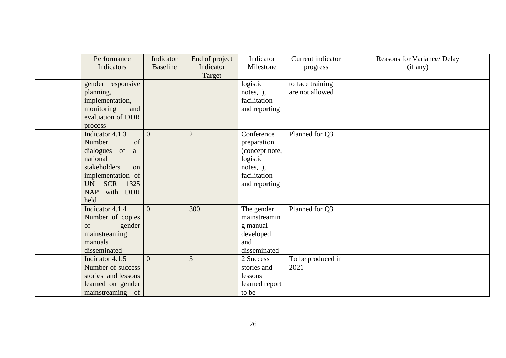| Performance         | Indicator       | End of project | Indicator               | Current indicator | Reasons for Variance/ Delay |
|---------------------|-----------------|----------------|-------------------------|-------------------|-----------------------------|
| Indicators          | <b>Baseline</b> | Indicator      | Milestone               | progress          | (if any)                    |
| gender responsive   |                 | Target         | logistic                | to face training  |                             |
| planning,           |                 |                |                         | are not allowed   |                             |
| implementation,     |                 |                | notes),<br>facilitation |                   |                             |
| monitoring<br>and   |                 |                | and reporting           |                   |                             |
| evaluation of DDR   |                 |                |                         |                   |                             |
| process             |                 |                |                         |                   |                             |
| Indicator 4.1.3     | $\overline{0}$  | $\overline{2}$ | Conference              | Planned for Q3    |                             |
| Number<br>of        |                 |                | preparation             |                   |                             |
| dialogues of<br>all |                 |                | (concept note,          |                   |                             |
| national            |                 |                | logistic                |                   |                             |
| stakeholders<br>on  |                 |                | notes),                 |                   |                             |
| implementation of   |                 |                | facilitation            |                   |                             |
| SCR 1325<br>UN      |                 |                | and reporting           |                   |                             |
| NAP<br>with DDR     |                 |                |                         |                   |                             |
| held                |                 |                |                         |                   |                             |
| Indicator 4.1.4     | $\overline{0}$  | 300            | The gender              | Planned for Q3    |                             |
| Number of copies    |                 |                | mainstreamin            |                   |                             |
| of<br>gender        |                 |                | g manual                |                   |                             |
| mainstreaming       |                 |                | developed               |                   |                             |
| manuals             |                 |                | and                     |                   |                             |
| disseminated        |                 |                | disseminated            |                   |                             |
| Indicator 4.1.5     | $\theta$        | $\overline{3}$ | 2 Success               | To be produced in |                             |
| Number of success   |                 |                | stories and             | 2021              |                             |
| stories and lessons |                 |                | lessons                 |                   |                             |
| learned on gender   |                 |                | learned report          |                   |                             |
| mainstreaming of    |                 |                | to be                   |                   |                             |